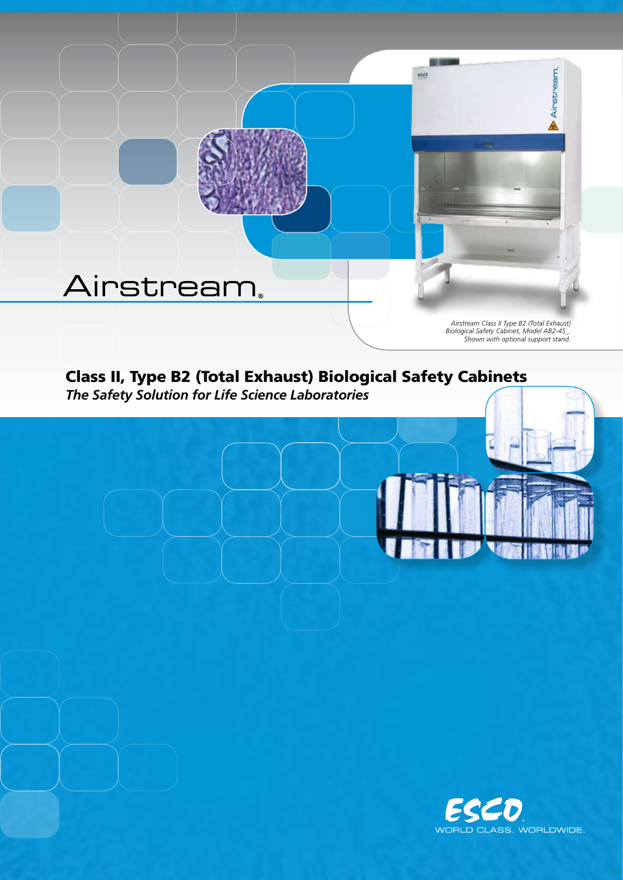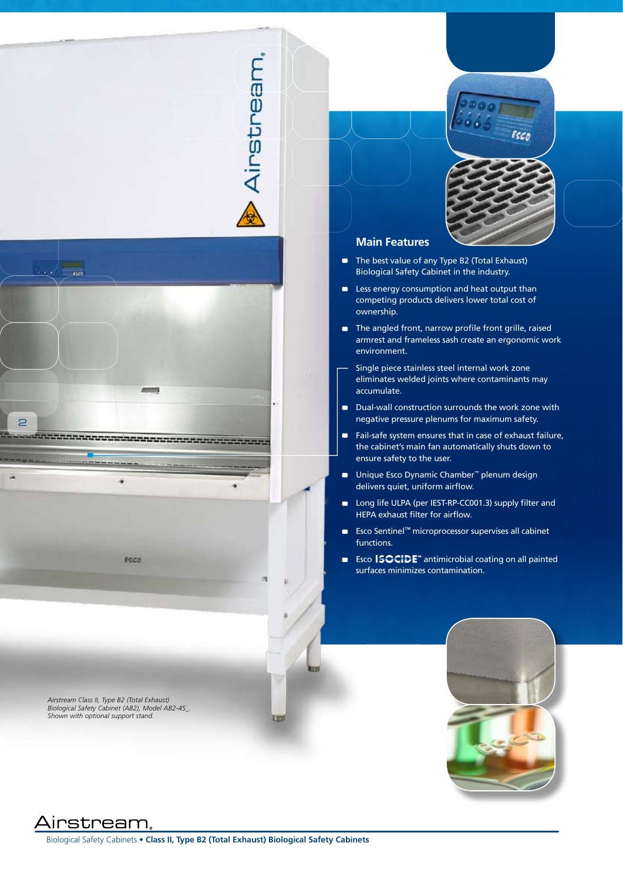# Airstream,



*Airstream Class II, Type B2 (Total Exhaust) Biological Safety Cabinet (AB2), Model AB2-4S\_. Shown with optional support stand.*

Esco



# **Main Features**

- The best value of any Type B2 (Total Exhaust) Biological Safety Cabinet in the industry.
- **EXEC** Less energy consumption and heat output than competing products delivers lower total cost of ownership.
- The angled front, narrow profile front grille, raised armrest and frameless sash create an ergonomic work environment.
- Single piece stainless steel internal work zone eliminates welded joints where contaminants may accumulate.
- Dual-wall construction surrounds the work zone with negative pressure plenums for maximum safety.
- Fail-safe system ensures that in case of exhaust failure, the cabinet's main fan automatically shuts down to ensure safety to the user.
- Unique Esco Dynamic Chamber<sup>™</sup> plenum design delivers quiet, uniform airflow.
- Long life ULPA (per IEST-RP-CC001.3) supply filter and HEPA exhaust filter for airflow.
- Esco Sentinel™ microprocessor supervises all cabinet functions.
- Esco ISOCIDE<sup>™</sup> antimicrobial coating on all painted surfaces minimizes contamination.



Airstream,

Biological Safety Cabinets • **Class II, Type B2 (Total Exhaust) Biological Safety Cabinets**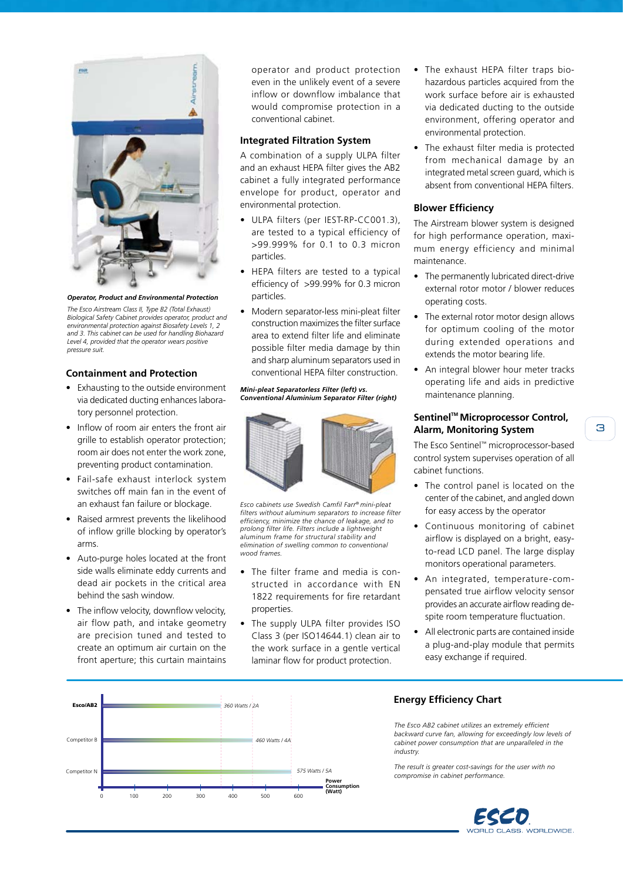

*The Esco Airstream Class II, Type B2 (Total Exhaust) Biological Safety Cabinet provides operator, product and environmental protection against Biosafety Levels 1, 2 and 3. This cabinet can be used for handling Biohazard Level 4, provided that the operator wears positive pressure suit.* 

# **Containment and Protection**

- Exhausting to the outside environment via dedicated ducting enhances laboratory personnel protection.
- Inflow of room air enters the front air grille to establish operator protection; room air does not enter the work zone, preventing product contamination.
- Fail-safe exhaust interlock system switches off main fan in the event of an exhaust fan failure or blockage.
- Raised armrest prevents the likelihood of inflow grille blocking by operator's arms.
- Auto-purge holes located at the front side walls eliminate eddy currents and dead air pockets in the critical area behind the sash window.
- The inflow velocity, downflow velocity, air flow path, and intake geometry are precision tuned and tested to create an optimum air curtain on the front aperture; this curtain maintains

operator and product protection even in the unlikely event of a severe inflow or downflow imbalance that would compromise protection in a conventional cabinet.

#### **Integrated Filtration System**

A combination of a supply ULPA filter and an exhaust HEPA filter gives the AB2 cabinet a fully integrated performance envelope for product, operator and environmental protection.

- ULPA filters (per IEST-RP-CC001.3), are tested to a typical efficiency of >99.999% for 0.1 to 0.3 micron particles.
- HEPA filters are tested to a typical efficiency of >99.99% for 0.3 micron particles.
- Modern separator-less mini-pleat filter construction maximizes the filter surface area to extend filter life and eliminate possible filter media damage by thin and sharp aluminum separators used in conventional HEPA filter construction.

#### *Mini-pleat Separatorless Filter (left) vs. Conventional Aluminium Separator Filter (right)*



*Esco cabinets use Swedish Camfil Farr® mini-pleat filters without aluminum separators to increase filter efficiency, minimize the chance of leakage, and to prolong filter life. Filters include a lightweight aluminum frame for structural stability and elimination of swelling common to conventional wood frames.*

- The filter frame and media is constructed in accordance with EN 1822 requirements for fire retardant properties.
- The supply ULPA filter provides ISO Class 3 (per ISO14644.1) clean air to the work surface in a gentle vertical laminar flow for product protection.
- The exhaust HEPA filter traps biohazardous particles acquired from the work surface before air is exhausted via dedicated ducting to the outside environment, offering operator and environmental protection.
- The exhaust filter media is protected from mechanical damage by an integrated metal screen guard, which is absent from conventional HEPA filters.

# **Blower Efficiency**

The Airstream blower system is designed for high performance operation, maximum energy efficiency and minimal maintenance.

- The permanently lubricated direct-drive external rotor motor / blower reduces operating costs.
- The external rotor motor design allows for optimum cooling of the motor during extended operations and extends the motor bearing life.
- An integral blower hour meter tracks operating life and aids in predictive maintenance planning.

# **Sentinel™ Microprocessor Control, Alarm, Monitoring System**

The Esco Sentinel™ microprocessor-based control system supervises operation of all cabinet functions.

- The control panel is located on the center of the cabinet, and angled down for easy access by the operator
- Continuous monitoring of cabinet airflow is displayed on a bright, easyto-read LCD panel. The large display monitors operational parameters.
- An integrated, temperature-compensated true airflow velocity sensor provides an accurate airflow reading despite room temperature fluctuation.
- All electronic parts are contained inside a plug-and-play module that permits easy exchange if required.



# **Energy Efficiency Chart**

*The Esco AB2 cabinet utilizes an extremely efficient backward curve fan, allowing for exceedingly low levels of cabinet power consumption that are unparalleled in the industry.*

*The result is greater cost-savings for the user with no* 

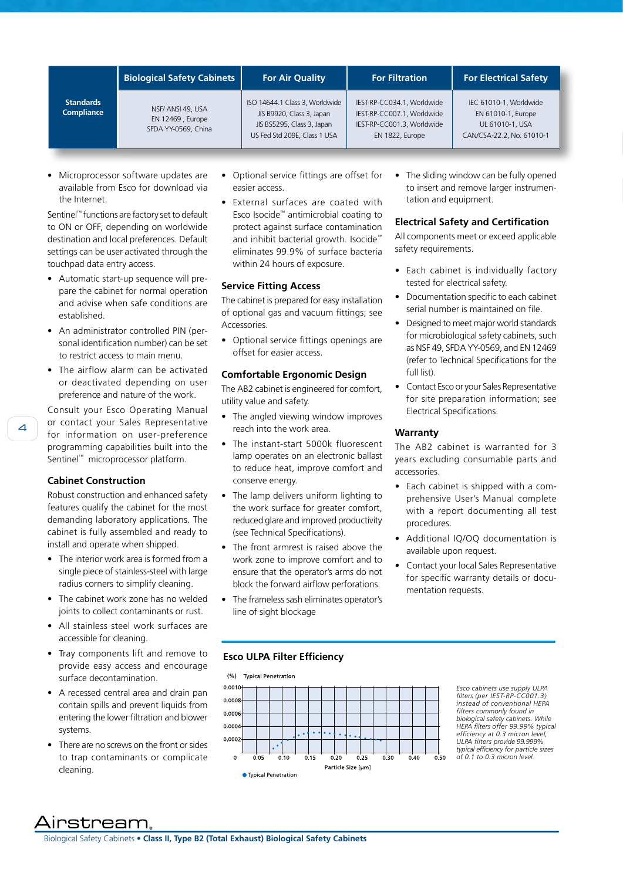| <b>Standards</b><br>Compliance | <b>Biological Safety Cabinets</b>                            | <b>For Air Quality</b>                                                                                                    | <b>For Filtration</b>                                                                                     | <b>For Electrical Safety</b>                                                                 |
|--------------------------------|--------------------------------------------------------------|---------------------------------------------------------------------------------------------------------------------------|-----------------------------------------------------------------------------------------------------------|----------------------------------------------------------------------------------------------|
|                                | NSF/ ANSI 49, USA<br>EN 12469, Europe<br>SFDA YY-0569, China | ISO 14644.1 Class 3, Worldwide<br>JIS B9920, Class 3, Japan<br>JIS BS5295, Class 3, Japan<br>US Fed Std 209E, Class 1 USA | IEST-RP-CC034.1, Worldwide<br>IEST-RP-CC007.1, Worldwide<br>IEST-RP-CC001.3, Worldwide<br>EN 1822, Europe | IEC 61010-1, Worldwide<br>EN 61010-1, Europe<br>UL 61010-1, USA<br>CAN/CSA-22.2, No. 61010-1 |

• Microprocessor software updates are available from Esco for download via the Internet.

Sentinel™ functions are factory set to default to ON or OFF, depending on worldwide destination and local preferences. Default settings can be user activated through the touchpad data entry access.

- Automatic start-up sequence will prepare the cabinet for normal operation and advise when safe conditions are established.
- An administrator controlled PIN (personal identification number) can be set to restrict access to main menu.
- The airflow alarm can be activated or deactivated depending on user preference and nature of the work.

Consult your Esco Operating Manual or contact your Sales Representative for information on user-preference programming capabilities built into the Sentinel™ microprocessor platform.

## **Cabinet Construction**

Robust construction and enhanced safety features qualify the cabinet for the most demanding laboratory applications. The cabinet is fully assembled and ready to install and operate when shipped.

- The interior work area is formed from a single piece of stainless-steel with large radius corners to simplify cleaning.
- The cabinet work zone has no welded joints to collect contaminants or rust.
- All stainless steel work surfaces are accessible for cleaning.
- Tray components lift and remove to provide easy access and encourage surface decontamination.
- A recessed central area and drain pan contain spills and prevent liquids from entering the lower filtration and blower systems.
- There are no screws on the front or sides to trap contaminants or complicate cleaning.
- Optional service fittings are offset for easier access.
- External surfaces are coated with Esco Isocide™ antimicrobial coating to protect against surface contamination and inhibit bacterial growth. Isocide™ eliminates 99.9% of surface bacteria within 24 hours of exposure.

#### **Service Fitting Access**

The cabinet is prepared for easy installation of optional gas and vacuum fittings; see Accessories.

• Optional service fittings openings are offset for easier access.

### **Comfortable Ergonomic Design**

The AB2 cabinet is engineered for comfort, utility value and safety.

- The angled viewing window improves reach into the work area.
- The instant-start 5000k fluorescent lamp operates on an electronic ballast to reduce heat, improve comfort and conserve energy.
- The lamp delivers uniform lighting to the work surface for greater comfort. reduced glare and improved productivity (see Technical Specifications).
- The front armrest is raised above the work zone to improve comfort and to ensure that the operator's arms do not block the forward airflow perforations.
- The frameless sash eliminates operator's line of sight blockage

The sliding window can be fully opened to insert and remove larger instrumentation and equipment.

# **Electrical Safety and Certification**

All components meet or exceed applicable safety requirements.

- Each cabinet is individually factory tested for electrical safety.
- Documentation specific to each cabinet serial number is maintained on file.
- Designed to meet major world standards for microbiological safety cabinets, such as NSF 49, SFDA YY-0569, and EN 12469 (refer to Technical Specifications for the full list).
- Contact Esco or your Sales Representative for site preparation information; see Electrical Specifications.

#### **Warranty**

The AB2 cabinet is warranted for 3 years excluding consumable parts and accessories.

- Each cabinet is shipped with a comprehensive User's Manual complete with a report documenting all test procedures.
- Additional IQ/OQ documentation is available upon request.
- Contact your local Sales Representative for specific warranty details or documentation requests.

# **Esco ULPA Filter Efficiency**



*Esco cabinets use supply ULPA filters (per IEST-RP-CC001.3) instead of conventional HEPA filters commonly found in biological safety cabinets. While HEPA filters offer 99.99% typical efficiency at 0.3 micron level, ULPA filters provide 99.999% typical efficiency for particle sizes of 0.1 to 0.3 micron level.* 

.ırstream.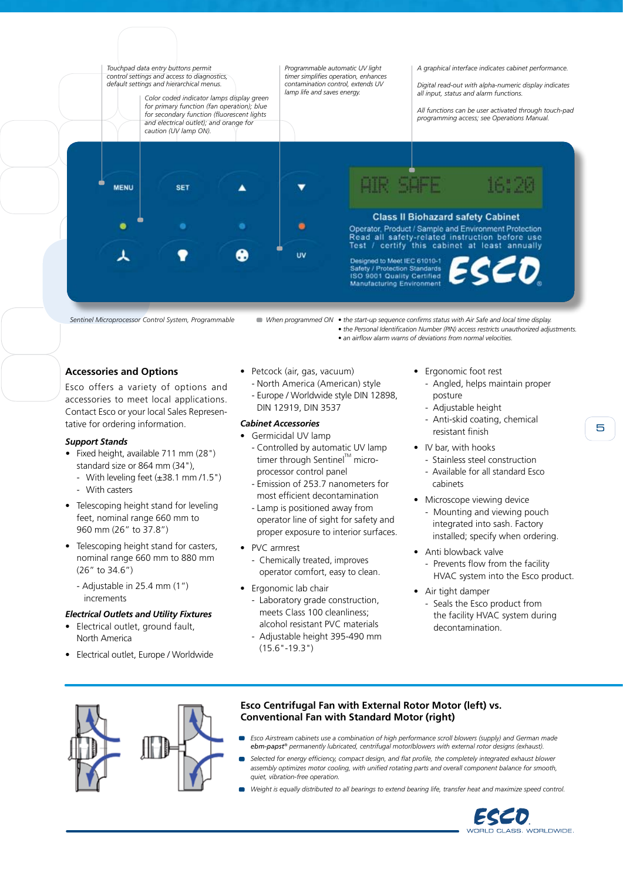

*Sentinel Microprocessor Control System, Programmable*

*When programmed ON • the start-up sequence confirms status with Air Safe and local time display. • the Personal Identification Number (PIN) access restricts unauthorized adjustments. • an airflow alarm warns of deviations from normal velocities.*

**Accessories and Options**

Esco offers a variety of options and accessories to meet local applications. Contact Esco or your local Sales Representative for ordering information.

### *Support Stands*

- *•*  Fixed height, available 711 mm (28") standard size or 864 mm (34"),
	- With leveling feet  $(\pm 38.1 \text{ mm}/1.5")$
	- With casters
- Telescoping height stand for leveling feet, nominal range 660 mm to 960 mm (26" to 37.8")
- Telescoping height stand for casters, nominal range 660 mm to 880 mm (26" to 34.6")
	- Adjustable in 25.4 mm (1") increments

#### *Electrical Outlets and Utility Fixtures*

- Electrical outlet, ground fault, North America
- Electrical outlet, Europe / Worldwide
- Petcock (air, gas, vacuum) - North America (American) style
	- Europe / Worldwide style DIN 12898, DIN 12919, DIN 3537

#### *Cabinet Accessories*

- Germicidal UV lamp
	- Controlled by automatic UV lamp timer through Sentinel<sup>™</sup> microprocessor control panel
	- Emission of 253.7 nanometers for most efficient decontamination
- Lamp is positioned away from operator line of sight for safety and proper exposure to interior surfaces.
- PVC armrest
- Chemically treated, improves operator comfort, easy to clean.
- Ergonomic lab chair
	- Laboratory grade construction, meets Class 100 cleanliness; alcohol resistant PVC materials
	- Adjustable height 395-490 mm  $(15.6" - 19.3")$
- Ergonomic foot rest
	- Angled, helps maintain proper posture
	- Adjustable height
	- Anti-skid coating, chemical resistant finish
- IV bar, with hooks
	- Stainless steel construction - Available for all standard Esco cabinets
- Microscope viewing device - Mounting and viewing pouch integrated into sash. Factory installed; specify when ordering.
- Anti blowback valve
	- Prevents flow from the facility HVAC system into the Esco product.
- Air tight damper - Seals the Esco product from the facility HVAC system during decontamination.



# **Esco Centrifugal Fan with External Rotor Motor (left) vs. Conventional Fan with Standard Motor (right)**

- *Esco Airstream cabinets use a combination of high performance scroll blowers (supply) and German made ebm-papst® permanently lubricated, centrifugal motor/blowers with external rotor designs (exhaust).*
- *Selected for energy efficiency, compact design, and flat profile, the completely integrated exhaust blower assembly optimizes motor cooling, with unified rotating parts and overall component balance for smooth, quiet, vibration-free operation.*
- *Weight is equally distributed to all bearings to extend bearing life, transfer heat and maximize speed control.*



5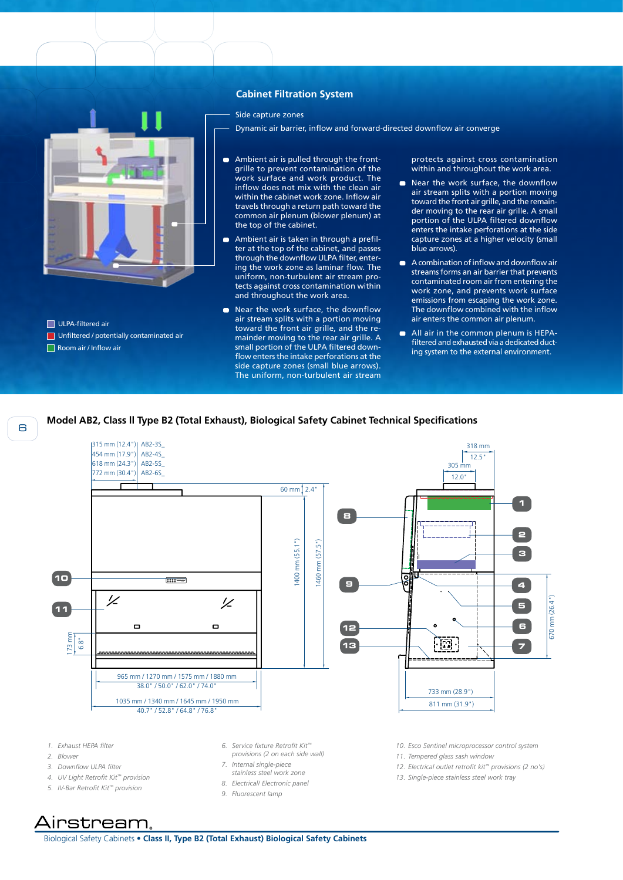# **Cabinet Filtration System**

Side capture zones

- Dynamic air barrier, inflow and forward-directed downflow air converge
- Ambient air is pulled through the front-÷ grille to prevent contamination of the work surface and work product. The inflow does not mix with the clean air within the cabinet work zone. Inflow air travels through a return path toward the common air plenum (blower plenum) at the top of the cabinet.
- Ambient air is taken in through a prefil- $\blacksquare$ ter at the top of the cabinet, and passes through the downflow ULPA filter, entering the work zone as laminar flow. The uniform, non-turbulent air stream protects against cross contamination within and throughout the work area.
- Near the work surface, the downflow air stream splits with a portion moving toward the front air grille, and the remainder moving to the rear air grille. A small portion of the ULPA filtered downflow enters the intake perforations at the side capture zones (small blue arrows). The uniform, non-turbulent air stream

protects against cross contamination within and throughout the work area.

- Near the work surface, the downflow air stream splits with a portion moving toward the front air grille, and the remainder moving to the rear air grille. A small portion of the ULPA filtered downflow enters the intake perforations at the side capture zones at a higher velocity (small blue arrows).
- A combination of inflow and downflow air streams forms an air barrier that prevents contaminated room air from entering the work zone, and prevents work surface emissions from escaping the work zone. The downflow combined with the inflow air enters the common air plenum.
- All air in the common plenum is HEPAfiltered and exhausted via a dedicated ducting system to the external environment.

### **Model AB2, Class ll Type B2 (Total Exhaust), Biological Safety Cabinet Technical Specifications**



- *1. Exhaust HEPA filter*
- *2. Blower*
- 
- *3. Downflow ULPA filter*
- *4. UV Light Retrofit Kit™ provision*
- *5. IV-Bar Retrofit Kit™ provision*
- *6. Service fixture Retrofit Kit™ provisions (2 on each side wall)*
- *7. Internal single-piece*
- *stainless steel work zone*
- *8. Electrical/ Electronic panel*
- *9. Fluorescent lamp*
- *10. Esco Sentinel microprocessor control system*
- *11. Tempered glass sash window*
- *12. Electrical outlet retrofit kit™ provisions (2 no's)*
- *13. Single-piece stainless steel work tray*

Aırstream.

Biological Safety Cabinets • **Class II, Type B2 (Total Exhaust) Biological Safety Cabinets**

ULPA-filtered air

Room air / Inflow air

**Unfiltered / potentially contaminated air**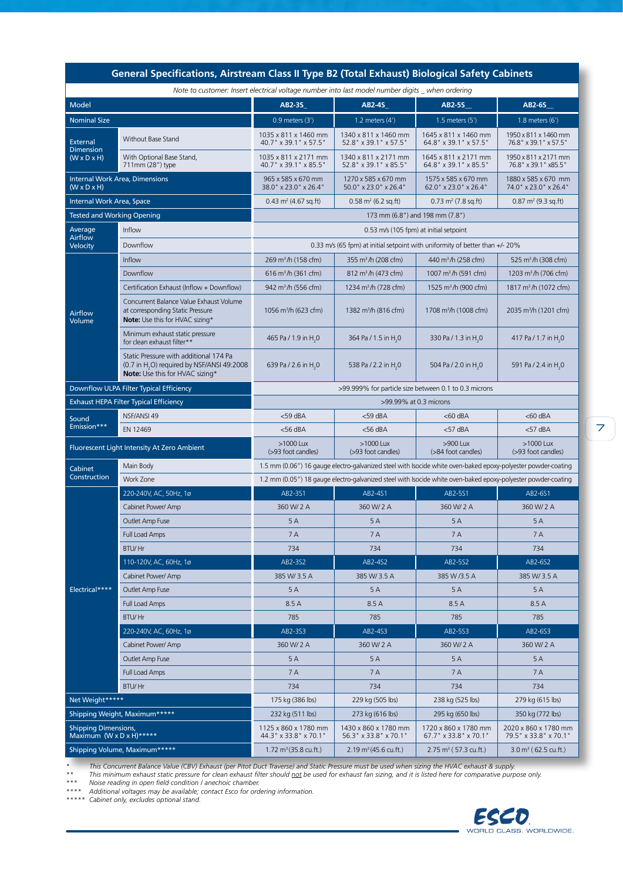| General Specifications, Airstream Class II Type B2 (Total Exhaust) Biological Safety Cabinets  |                                                                                                                                     |                                                                                                               |                                                                                                               |                                                           |                                                          |  |  |  |
|------------------------------------------------------------------------------------------------|-------------------------------------------------------------------------------------------------------------------------------------|---------------------------------------------------------------------------------------------------------------|---------------------------------------------------------------------------------------------------------------|-----------------------------------------------------------|----------------------------------------------------------|--|--|--|
| Note to customer: Insert electrical voltage number into last model number digits when ordering |                                                                                                                                     |                                                                                                               |                                                                                                               |                                                           |                                                          |  |  |  |
| <b>Model</b>                                                                                   |                                                                                                                                     | AB2-3S                                                                                                        | <b>AB2-4S</b>                                                                                                 | <b>AB2-5S</b>                                             | <b>AB2-6S</b>                                            |  |  |  |
| <b>Nominal Size</b>                                                                            |                                                                                                                                     | $0.9$ meters $(3')$                                                                                           | 1.2 meters $(4')$                                                                                             | $1.5$ meters $(5')$                                       | $1.8$ meters $(6')$                                      |  |  |  |
| <b>External</b><br><b>Dimension</b><br>$(W \times D \times H)$                                 | Without Base Stand                                                                                                                  | 1035 x 811 x 1460 mm<br>40.7" x 39.1" x 57.5"                                                                 | 1340 x 811 x 1460 mm<br>52.8" x 39.1" x 57.5"                                                                 | 1645 x 811 x 1460 mm<br>64.8" x 39.1" x 57.5"             | 1950 x 811 x 1460 mm<br>76.8" x 39.1" x 57.5"            |  |  |  |
|                                                                                                | With Optional Base Stand,<br>711mm (28") type                                                                                       | 1035 x 811 x 2171 mm<br>40.7" x 39.1" x 85.5"                                                                 | 1340 x 811 x 2171 mm<br>52.8" x 39.1" x 85.5"                                                                 | 1645 x 811 x 2171 mm<br>64.8" x 39.1" x 85.5"             | 1950 x 811 x 2171 mm<br>76.8" x 39.1" x 85.5"            |  |  |  |
| <b>Internal Work Area, Dimensions</b><br>$(W \times D \times H)$                               |                                                                                                                                     | 965 x 585 x 670 mm<br>38.0" x 23.0" x 26.4"                                                                   | 1270 x 585 x 670 mm<br>50.0" x 23.0" x 26.4"                                                                  | 1575 x 585 x 670 mm<br>62.0" x 23.0" x 26.4"              | 1880 x 585 x 670 mm<br>74.0" x 23.0" x 26.4"             |  |  |  |
| Internal Work Area, Space                                                                      |                                                                                                                                     | $0.43 \text{ m}^2 (4.67 \text{ sq.ft})$                                                                       | $0.58$ m <sup>2</sup> (6.2 sq.ft)                                                                             | $0.73 \text{ m}^2 (7.8 \text{ sq.ft})$                    | $0.87 \text{ m}^2 (9.3 \text{ sq.ft})$                   |  |  |  |
| <b>Tested and Working Opening</b>                                                              |                                                                                                                                     | 173 mm (6.8") and 198 mm (7.8")                                                                               |                                                                                                               |                                                           |                                                          |  |  |  |
| Average                                                                                        | <b>Inflow</b>                                                                                                                       | 0.53 m/s (105 fpm) at initial setpoint                                                                        |                                                                                                               |                                                           |                                                          |  |  |  |
| Airflow<br><b>Velocity</b>                                                                     | Downflow                                                                                                                            | 0.33 m/s (65 fpm) at initial setpoint with uniformity of better than $+/- 20\%$                               |                                                                                                               |                                                           |                                                          |  |  |  |
| Airflow<br>Volume                                                                              | Inflow                                                                                                                              | 269 m <sup>3</sup> /h (158 cfm)                                                                               | 355 m <sup>3</sup> /h (208 cfm)                                                                               | 440 m <sup>3</sup> /h (258 cfm)                           | 525 m <sup>3</sup> /h (308 cfm)                          |  |  |  |
|                                                                                                | Downflow                                                                                                                            | 616 m <sup>3</sup> /h (361 cfm)                                                                               | 812 m <sup>3</sup> /h (473 cfm)                                                                               | 1007 m <sup>3</sup> /h (591 cfm)                          | 1203 m <sup>3</sup> /h (706 cfm)                         |  |  |  |
|                                                                                                | Certification Exhaust (Inflow + Downflow)                                                                                           | 942 m <sup>3</sup> /h (556 cfm)                                                                               | 1234 m <sup>3</sup> /h (728 cfm)                                                                              | 1525 m <sup>3</sup> /h (900 cfm)                          | 1817 m <sup>3</sup> /h (1072 cfm)                        |  |  |  |
|                                                                                                | Concurrent Balance Value Exhaust Volume<br>at corresponding Static Pressure<br>Note: Use this for HVAC sizing*                      | 1056 m <sup>3</sup> /h (623 cfm)                                                                              | 1382 m <sup>3</sup> /h (816 cfm)                                                                              | 1708 m <sup>3</sup> /h (1008 cfm)                         | 2035 m <sup>3</sup> /h (1201 cfm)                        |  |  |  |
|                                                                                                | Minimum exhaust static pressure<br>for clean exhaust filter**                                                                       | 465 Pa / 1.9 in H <sub>2</sub> 0                                                                              | 364 Pa / 1.5 in H <sub>2</sub> 0                                                                              | 330 Pa / 1.3 in H <sub>2</sub> 0                          | 417 Pa / 1.7 in H <sub>2</sub> 0                         |  |  |  |
|                                                                                                | Static Pressure with additional 174 Pa<br>(0.7 in H <sub>2</sub> O) required by NSF/ANSI 49:2008<br>Note: Use this for HVAC sizing* | 639 Pa / 2.6 in H <sub>2</sub> 0                                                                              | 538 Pa / 2.2 in H <sub>2</sub> 0                                                                              | 504 Pa / 2.0 in H <sub>2</sub> 0                          | 591 Pa / 2.4 in H <sub>2</sub> 0                         |  |  |  |
| Downflow ULPA Filter Typical Efficiency                                                        |                                                                                                                                     | >99.999% for particle size between 0.1 to 0.3 microns                                                         |                                                                                                               |                                                           |                                                          |  |  |  |
| <b>Exhaust HEPA Filter Typical Efficiency</b>                                                  |                                                                                                                                     | >99.99% at 0.3 microns                                                                                        |                                                                                                               |                                                           |                                                          |  |  |  |
| Sound                                                                                          | NSF/ANSI 49                                                                                                                         | $<$ 59 dBA                                                                                                    | <59 dBA                                                                                                       | $<$ 60 dBA                                                | $<$ 60 dBA                                               |  |  |  |
| Emission***                                                                                    | EN 12469                                                                                                                            | $<$ 56 dBA                                                                                                    | $<$ 56 dBA                                                                                                    | $<$ 57 dBA                                                | $<$ 57 dBA                                               |  |  |  |
| Fluorescent Light Intensity At Zero Ambient                                                    |                                                                                                                                     | >1000 Lux<br>(>93 foot candles)                                                                               | >1000 Lux<br>(>93 foot candles)                                                                               | >900 Lux<br>(>84 foot candles)                            | >1000 Lux<br>(>93 foot candles)                          |  |  |  |
| Cabinet                                                                                        | Main Body                                                                                                                           | 1.5 mm (0.06") 16 gauge electro-galvanized steel with Isocide white oven-baked epoxy-polyester powder-coating |                                                                                                               |                                                           |                                                          |  |  |  |
| Construction                                                                                   | Work Zone                                                                                                                           |                                                                                                               | 1.2 mm (0.05") 18 gauge electro-galvanized steel with Isocide white oven-baked epoxy-polyester powder-coating |                                                           |                                                          |  |  |  |
| Electrical****                                                                                 | 220-240V, AC, 50Hz, 1ø                                                                                                              | AB2-3S1                                                                                                       | AB2-4S1                                                                                                       | AB2-5S1                                                   | AB2-6S1                                                  |  |  |  |
|                                                                                                | Cabinet Power/ Amp                                                                                                                  | 360 W/2 A                                                                                                     | 360 W/ 2 A                                                                                                    | 360 W/2 A                                                 | 360 W/2 A                                                |  |  |  |
|                                                                                                | Outlet Amp Fuse                                                                                                                     | 5A                                                                                                            | 5A                                                                                                            | 5A                                                        | 5A                                                       |  |  |  |
|                                                                                                | Full Load Amps                                                                                                                      | 7A                                                                                                            | 7 A                                                                                                           | 7 A                                                       | 7 A                                                      |  |  |  |
|                                                                                                | <b>BTU/Hr</b>                                                                                                                       | 734                                                                                                           | 734                                                                                                           | 734                                                       | 734                                                      |  |  |  |
|                                                                                                | 110-120V, AC, 60Hz, 1ø                                                                                                              | AB2-3S2                                                                                                       | AB2-4S2                                                                                                       | AB2-5S2                                                   | AB2-6S2                                                  |  |  |  |
|                                                                                                | Cabinet Power/ Amp                                                                                                                  | 385 W/ 3.5 A                                                                                                  | 385 W/3.5 A                                                                                                   | 385 W /3.5 A                                              | 385 W/3.5 A                                              |  |  |  |
|                                                                                                | Outlet Amp Fuse                                                                                                                     | 5A                                                                                                            | 5A                                                                                                            | 5A                                                        | 5 A                                                      |  |  |  |
|                                                                                                | Full Load Amps                                                                                                                      | 8.5 A                                                                                                         | 8.5 A                                                                                                         | 8.5A                                                      | 8.5 A                                                    |  |  |  |
|                                                                                                | <b>BTU/Hr</b>                                                                                                                       | 785                                                                                                           | 785                                                                                                           | 785                                                       | 785                                                      |  |  |  |
|                                                                                                | 220-240V, AC, 60Hz, 1ø                                                                                                              | AB2-3S3                                                                                                       | AB2-4S3                                                                                                       | AB2-5S3                                                   | AB2-6S3                                                  |  |  |  |
|                                                                                                | Cabinet Power/ Amp                                                                                                                  | 360 W/2 A                                                                                                     | 360 W/ 2 A                                                                                                    | 360 W/ 2 A                                                | 360 W/ 2 A                                               |  |  |  |
|                                                                                                | Outlet Amp Fuse                                                                                                                     | 5A                                                                                                            | 5A                                                                                                            | 5A                                                        | 5A                                                       |  |  |  |
|                                                                                                | Full Load Amps                                                                                                                      | 7 A                                                                                                           | 7 A                                                                                                           | 7 A                                                       | 7 A                                                      |  |  |  |
|                                                                                                | <b>BTU/Hr</b>                                                                                                                       | 734                                                                                                           | 734                                                                                                           | 734                                                       | 734                                                      |  |  |  |
| Net Weight*****                                                                                |                                                                                                                                     | 175 kg (386 lbs)                                                                                              | 229 kg (505 lbs)                                                                                              | 238 kg (525 lbs)                                          | 279 kg (615 lbs)                                         |  |  |  |
| Shipping Weight, Maximum*****<br><b>Shipping Dimensions,</b>                                   |                                                                                                                                     | 232 kg (511 lbs)<br>1125 x 860 x 1780 mm                                                                      | 273 kg (616 lbs)<br>1430 x 860 x 1780 mm                                                                      | 295 kg (650 lbs)<br>1720 x 860 x 1780 mm                  | 350 kg (772 lbs)<br>2020 x 860 x 1780 mm                 |  |  |  |
| Maximum (W x D x H)*****<br>Shipping Volume, Maximum*****                                      |                                                                                                                                     | 44.3" x 33.8" x 70.1"<br>1.72 $m^3$ (35.8 cu.ft.)                                                             | 56.3" x 33.8" x 70.1"<br>$2.19 \text{ m}^3 (45.6 \text{ cu} \cdot \text{ft.})$                                | 67.7" x 33.8" x 70.1"<br>$2.75 \text{ m}^3$ (57.3 cu.ft.) | 79.5" x 33.8" x 70.1"<br>$3.0 \text{ m}^3$ (62.5 cu.ft.) |  |  |  |

*\* This Concurrent Balance Value (CBV) Exhaust (per Pitot Duct Traverse) and Static Pressure must be used when sizing the HVAC exhaust & supply.* 

*\*\* This minimum exhaust static pressure for clean exhaust filter should not be used for exhaust fan sizing, and it is listed here for comparative purpose only. \*\*\* Noise reading in open field condition / anechoic chamber.* 

*\*\*\*\* Additional voltages may be available; contact Esco for ordering information.*

*\*\*\*\*\* Cabinet only, excludes optional stand.*